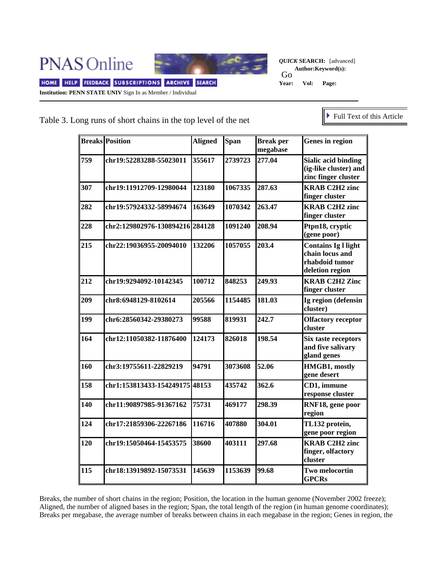**PNAS Online** 



*QUICK* **SEARCH:** [advanced] Go<br>Year: **Author:Keyword(s): Year: Vol: Page:** 

HOME HELP FEEDBACK SUBSCRIPTIONS ARCHIVE SEARCH **Institution: PENN STATE UNIV** Sign In as Member / Individual

## Table 3. Long runs of short chains in the top level of the net

Full Text of this Article

|     | <b>Breaks Position</b>          | <b>Aligned</b> | <b>Span</b> | <b>Break per</b><br>megabase | Genes in region                                                                    |
|-----|---------------------------------|----------------|-------------|------------------------------|------------------------------------------------------------------------------------|
| 759 | chr19:52283288-55023011         | 355617         | 2739723     | 277.04                       | <b>Sialic acid binding</b><br>(ig-like cluster) and<br>zinc finger cluster         |
| 307 | chr19:11912709-12980044         | 123180         | 1067335     | 287.63                       | <b>KRAB C2H2 zinc</b><br>finger cluster                                            |
| 282 | chr19:57924332-58994674         | 163649         | 1070342     | 263.47                       | <b>KRAB C2H2 zinc</b><br>finger cluster                                            |
| 228 | chr2:129802976-130894216 284128 |                | 1091240     | 208.94                       | Ptpn18, cryptic<br>(gene poor)                                                     |
| 215 | chr22:19036955-20094010         | 132206         | 1057055     | 203.4                        | <b>Contains Ig l light</b><br>chain locus and<br>rhabdoid tumor<br>deletion region |
| 212 | chr19:9294092-10142345          | 100712         | 848253      | 249.93                       | <b>KRAB C2H2 Zinc</b><br>finger cluster                                            |
| 209 | chr8:6948129-8102614            | 205566         | 1154485     | 181.03                       | Ig region (defensin<br>cluster)                                                    |
| 199 | chr6:28560342-29380273          | 99588          | 819931      | 242.7                        | <b>Olfactory receptor</b><br>cluster                                               |
| 164 | chr12:11050382-11876400         | 124173         | 826018      | 198.54                       | Six taste receptors<br>and five salivary<br>gland genes                            |
| 160 | chr3:19755611-22829219          | 94791          | 3073608     | 52.06                        | HMGB1, mostly<br>gene desert                                                       |
| 158 | chr1:153813433-154249175 48153  |                | 435742      | 362.6                        | CD1, immune<br>response cluster                                                    |
| 140 | chr11:90897985-91367162         | 75731          | 469177      | 298.39                       | RNF18, gene poor<br>region                                                         |
| 124 | chr17:21859306-22267186         | 116716         | 407880      | 304.01                       | TL132 protein,<br>gene poor region                                                 |
| 120 | chr19:15050464-15453575         | 38600          | 403111      | 297.68                       | <b>KRAB C2H2 zinc</b><br>finger, olfactory<br>cluster                              |
| 115 | chr18:13919892-15073531         | 145639         | 1153639     | 99.68                        | Two melocortin<br><b>GPCRs</b>                                                     |

Breaks, the number of short chains in the region; Position, the location in the human genome (November 2002 freeze); Aligned, the number of aligned bases in the region; Span, the total length of the region (in human genome coordinates); Breaks per megabase, the average number of breaks between chains in each megabase in the region; Genes in region, the